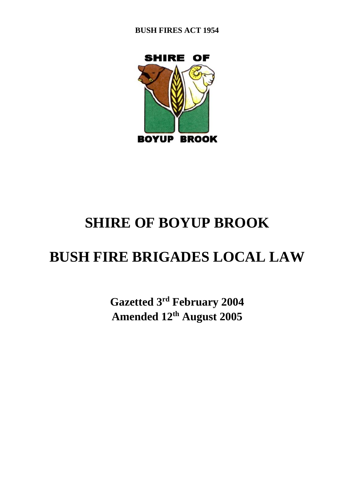**BUSH FIRES ACT 1954**



# **SHIRE OF BOYUP BROOK**

# **BUSH FIRE BRIGADES LOCAL LAW**

**Gazetted 3 rd February 2004 Amended 12 th August 2005**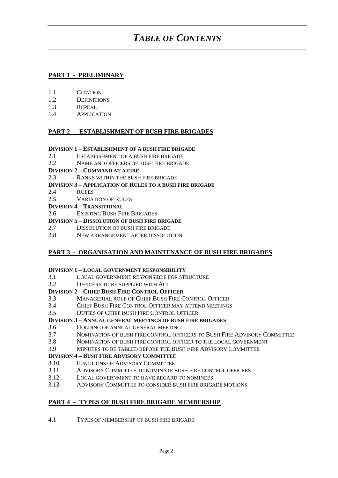# *TABLE OF CONTENTS*

#### **PART 1 - PRELIMINARY**

- 1.1 CITATION<br>1.2 DEFINITIO
- **DEFINITIONS**
- 1.3 REPEAL
- 1.4 APPLICATION

#### **PART 2 – ESTABLISHMENT OF BUSH FIRE BRIGADES**

#### **DIVISION 1 – ESTABLISHMENT OF A BUSH FIRE BRIGADE**

- 2.1 ESTABLISHMENT OF A BUSH FIRE BRIGADE
- 2.2 NAME AND OFFICERS OF BUSH FIRE BRIGADE

#### **DIVISION 2 – COMMAND AT A FIRE**

- 2.3 RANKS WITHIN THE BUSH FIRE BRIGADE
- **DIVISION 3 – APPLICATION OF RULES TO A BUSH FIRE BRIGADE**
- 2.4 RULES
- 2.5 VARIATION OF RULES
- **DIVISION 4 – TRANSITIONAL**
- 2.6 EXISTING BUSH FIRE BRIGADES

#### **DIVISION 5 – DISSOLUTION OF BUSH FIRE BRIGADE**

- 2.7 DISSOLUTION OF BUSH FIRE BRIGADE
- 2.8 NEW ARRANGEMENT AFTER DISSOLUTION

#### **PART 3 - ORGANISATION AND MAINTENANCE OF BUSH FIRE BRIGADES**

#### **DIVISION 1 – LOCAL GOVERNMENT RESPONSIBILITY**

- 3.1 LOCAL GOVERNMENT RESPONSIBLE FOR STRUCTURE
- 3.2 OFFICERS TO BE SUPPLIED WITH ACT

#### **DIVISION 2 – CHIEF BUSH FIRE CONTROL OFFICER**

- 3.3 MANAGERIAL ROLE OF CHIEF BUSH FIRE CONTROL OFFICER
- 3.4 CHIEF BUSH FIRE CONTROL OFFICER MAY ATTEND MEETINGS
- 3.5 DUTIES OF CHIEF BUSH FIRE CONTROL OFFICER

#### **DIVISION 3 – ANNUAL GENERAL MEETINGS OF BUSH FIRE BRIGADES**

- 3.6 HOLDING OF ANNUAL GENERAL MEETING
- 3.7 NOMINATION OF BUSH FIRE CONTROL OFFICERS TO BUSH FIRE ADVISORY COMMITTEE
- 3.8 NOMINATION OF BUSH FIRE CONTROL OFFICER TO THE LOCAL GOVERNMENT
- 3.9 MINUTES TO BE TABLED BEFORE THE BUSH FIRE ADVISORY COMMITTEE

#### **DIVISION 4 – BUSH FIRE ADVISORY COMMITTEE**

- 3.10 FUNCTIONS OF ADVISORY COMMITTEE
- 3.11 ADVISORY COMMITTEE TO NOMINATE BUSH FIRE CONTROL OFFICERS
- 3.12 LOCAL GOVERNMENT TO HAVE REGARD TO NOMINEES
- 3.13 ADVISORY COMMITTEE TO CONSIDER BUSH FIRE BRIGADE MOTIONS

#### **PART 4 – TYPES OF BUSH FIRE BRIGADE MEMBERSHIP**

4.1 TYPES OF MEMBERSHIP OF BUSH FIRE BRIGADE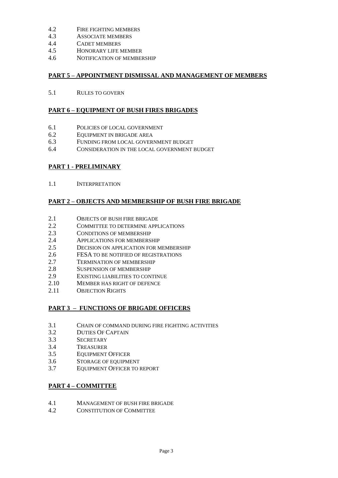- 4.2 FIRE FIGHTING MEMBERS<br>4.3 ASSOCIATE MEMBERS
- 4.3 ASSOCIATE MEMBERS<br>4.4 CADET MEMBERS
- CADET MEMBERS
- 4.5 HONORARY LIFE MEMBER
- 4.6 NOTIFICATION OF MEMBERSHIP

#### **PART 5 – APPOINTMENT DISMISSAL AND MANAGEMENT OF MEMBERS**

5.1 RULES TO GOVERN

#### **PART 6 – EQUIPMENT OF BUSH FIRES BRIGADES**

- 6.1 POLICIES OF LOCAL GOVERNMENT
- 6.2 EQUIPMENT IN BRIGADE AREA
- 6.3 FUNDING FROM LOCAL GOVERNMENT BUDGET<br>6.4 CONSIDERATION IN THE LOCAL GOVERNMENT
- CONSIDERATION IN THE LOCAL GOVERNMENT BUDGET

#### **PART 1 - PRELIMINARY**

1.1 INTERPRETATION

#### **PART 2 – OBJECTS AND MEMBERSHIP OF BUSH FIRE BRIGADE**

- 2.1 OBJECTS OF BUSH FIRE BRIGADE
- 2.2 COMMITTEE TO DETERMINE APPLICATIONS
- 2.3 CONDITIONS OF MEMBERSHIP
- 2.4 APPLICATIONS FOR MEMBERSHIP
- 2.5 DECISION ON APPLICATION FOR MEMBERSHIP
- 2.6 FESA TO BE NOTIFIED OF REGISTRATIONS
- 2.7 TERMINATION OF MEMBERSHIP
- 2.8 SUSPENSION OF MEMBERSHIP
- 2.9 EXISTING LIABILITIES TO CONTINUE
- 2.10 MEMBER HAS RIGHT OF DEFENCE
- 2.11 OBJECTION RIGHTS

#### **PART 3 – FUNCTIONS OF BRIGADE OFFICERS**

- 3.1 CHAIN OF COMMAND DURING FIRE FIGHTING ACTIVITIES
- 3.2 DUTIES OF CAPTAIN
- 3.3 SECRETARY
- 3.4 TREASURER
- 3.5 EQUIPMENT OFFICER
- 3.6 STORAGE OF EQUIPMENT
- 3.7 EQUIPMENT OFFICER TO REPORT

#### **PART 4 – COMMITTEE**

- 4.1 MANAGEMENT OF BUSH FIRE BRIGADE
- 4.2 CONSTITUTION OF COMMITTEE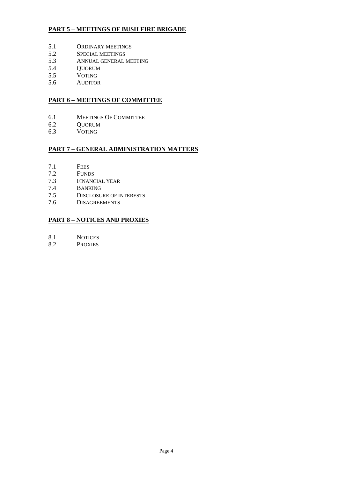#### **PART 5 – MEETINGS OF BUSH FIRE BRIGADE**

- 5.1 ORDINARY MEETINGS<br>5.2 SPECIAL MEETINGS
- 5.2 SPECIAL MEETINGS<br>5.3 ANNUAL GENERAL I
- 5.3 ANNUAL GENERAL MEETING<br>5.4 OUORUM
- 5.4 QUORUM<br>5.5 VOTING
- **VOTING**
- 5.6 AUDITOR

#### **PART 6 – MEETINGS OF COMMITTEE**

- 6.1 MEETINGS OF COMMITTEE
- 6.2 QUORUM<br>6.3 VOTING
- **VOTING**

#### **PART 7 – GENERAL ADMINISTRATION MATTERS**

- 7.1 FEES
- 
- 7.2 FUNDS<br>7.3 FINANO FINANCIAL YEAR
- 7.4 BANKING
- 7.5 DISCLOSURE OF INTERESTS
- 7.6 DISAGREEMENTS

#### **PART 8 – NOTICES AND PROXIES**

- 8.1 NOTICES
- 8.2 PROXIES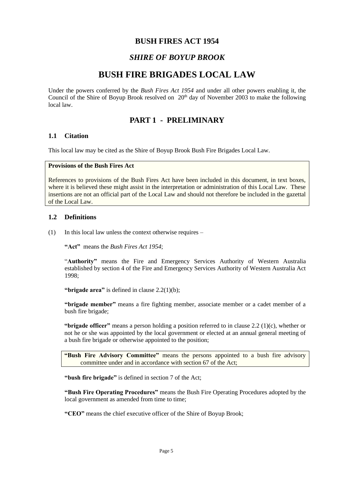# **BUSH FIRES ACT 1954**

# *SHIRE OF BOYUP BROOK*

# **BUSH FIRE BRIGADES LOCAL LAW**

Under the powers conferred by the *Bush Fires Act 1954* and under all other powers enabling it, the Council of the Shire of Boyup Brook resolved on  $20<sup>th</sup>$  day of November 2003 to make the following local law.

# **PART 1 - PRELIMINARY**

#### **1.1 Citation**

This local law may be cited as the Shire of Boyup Brook Bush Fire Brigades Local Law.

#### **Provisions of the Bush Fires Act**

References to provisions of the Bush Fires Act have been included in this document, in text boxes, where it is believed these might assist in the interpretation or administration of this Local Law. These insertions are not an official part of the Local Law and should not therefore be included in the gazettal of the Local Law.

#### **1.2 Definitions**

(1) In this local law unless the context otherwise requires  $-$ 

**"Act"** means the *Bush Fires Act 1954*;

"**Authority"** means the Fire and Emergency Services Authority of Western Australia established by section 4 of the Fire and Emergency Services Authority of Western Australia Act 1998;

**"brigade area"** is defined in clause 2.2(1)(b);

**"brigade member"** means a fire fighting member, associate member or a cadet member of a bush fire brigade;

**"brigade officer"** means a person holding a position referred to in clause 2.2 (1)(c), whether or not he or she was appointed by the local government or elected at an annual general meeting of a bush fire brigade or otherwise appointed to the position;

**"Bush Fire Advisory Committee"** means the persons appointed to a bush fire advisory committee under and in accordance with section 67 of the Act;

**"bush fire brigade"** is defined in section 7 of the Act;

**"Bush Fire Operating Procedures"** means the Bush Fire Operating Procedures adopted by the local government as amended from time to time;

**"CEO"** means the chief executive officer of the Shire of Boyup Brook;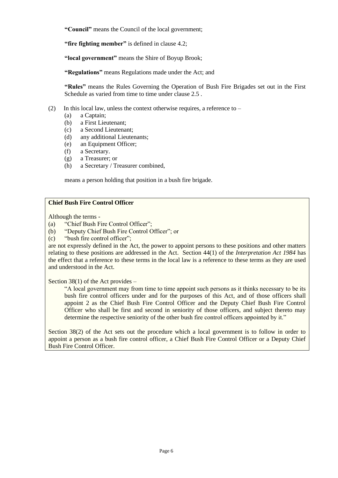**"Council"** means the Council of the local government;

**"fire fighting member"** is defined in clause 4.2;

**"local government"** means the Shire of Boyup Brook;

**"Regulations"** means Regulations made under the Act; and

**"Rules"** means the Rules Governing the Operation of Bush Fire Brigades set out in the First Schedule as varied from time to time under clause 2.5 .

#### (2) In this local law, unless the context otherwise requires, a reference to –

- (a) a Captain;
- (b) a First Lieutenant;
- (c) a Second Lieutenant;
- (d) any additional Lieutenants;
- (e) an Equipment Officer;
- (f) a Secretary.
- (g) a Treasurer; or
- (h) a Secretary / Treasurer combined,

means a person holding that position in a bush fire brigade.

#### **Chief Bush Fire Control Officer**

Although the terms -

- (a) "Chief Bush Fire Control Officer";
- (b) "Deputy Chief Bush Fire Control Officer"; or
- (c) "bush fire control officer";

are not expressly defined in the Act, the power to appoint persons to these positions and other matters relating to these positions are addressed in the Act. Section 44(1) of the *Interpretation Act 1984* has the effect that a reference to these terms in the local law is a reference to these terms as they are used and understood in the Act.

Section 38(1) of the Act provides –

"A local government may from time to time appoint such persons as it thinks necessary to be its bush fire control officers under and for the purposes of this Act, and of those officers shall appoint 2 as the Chief Bush Fire Control Officer and the Deputy Chief Bush Fire Control Officer who shall be first and second in seniority of those officers, and subject thereto may determine the respective seniority of the other bush fire control officers appointed by it."

Section 38(2) of the Act sets out the procedure which a local government is to follow in order to appoint a person as a bush fire control officer, a Chief Bush Fire Control Officer or a Deputy Chief Bush Fire Control Officer.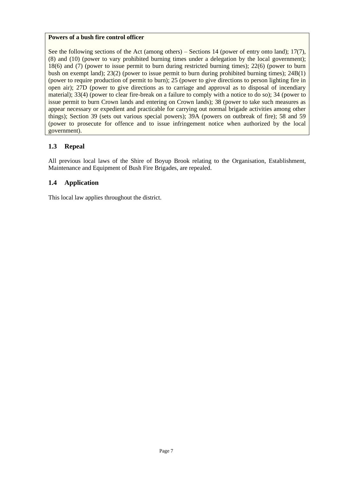#### **Powers of a bush fire control officer**

See the following sections of the Act (among others) – Sections 14 (power of entry onto land); 17(7), (8) and (10) (power to vary prohibited burning times under a delegation by the local government); 18(6) and (7) (power to issue permit to burn during restricted burning times); 22(6) (power to burn bush on exempt land); 23(2) (power to issue permit to burn during prohibited burning times); 24B(1) (power to require production of permit to burn); 25 (power to give directions to person lighting fire in open air); 27D (power to give directions as to carriage and approval as to disposal of incendiary material); 33(4) (power to clear fire-break on a failure to comply with a notice to do so); 34 (power to issue permit to burn Crown lands and entering on Crown lands); 38 (power to take such measures as appear necessary or expedient and practicable for carrying out normal brigade activities among other things); Section 39 (sets out various special powers); 39A (powers on outbreak of fire); 58 and 59 (power to prosecute for offence and to issue infringement notice when authorized by the local government).

# **1.3 Repeal**

All previous local laws of the Shire of Boyup Brook relating to the Organisation, Establishment, Maintenance and Equipment of Bush Fire Brigades, are repealed.

# **1.4 Application**

This local law applies throughout the district.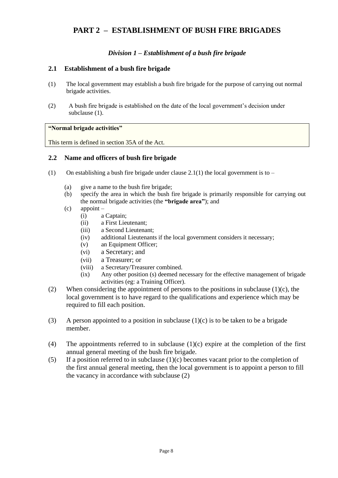# **PART 2 – ESTABLISHMENT OF BUSH FIRE BRIGADES**

# *Division 1 – Establishment of a bush fire brigade*

#### **2.1 Establishment of a bush fire brigade**

- (1) The local government may establish a bush fire brigade for the purpose of carrying out normal brigade activities.
- (2) A bush fire brigade is established on the date of the local government's decision under subclause (1).

#### **"Normal brigade activities"**

This term is defined in section 35A of the Act.

#### **2.2 Name and officers of bush fire brigade**

- (1) On establishing a bush fire brigade under clause 2.1(1) the local government is to
	- (a) give a name to the bush fire brigade;
	- (b) specify the area in which the bush fire brigade is primarily responsible for carrying out the normal brigade activities (the **"brigade area"**); and
	- $(c)$  appoint
		- (i) a Captain;
		- (ii) a First Lieutenant;
		- (iii) a Second Lieutenant;
		- (iv) additional Lieutenants if the local government considers it necessary;
		- (v) an Equipment Officer;
		- (vi) a Secretary; and
		- (vii) a Treasurer; or
		- (viii) a Secretary/Treasurer combined.
		- (ix) Any other position (s) deemed necessary for the effective management of brigade activities (eg: a Training Officer).
- (2) When considering the appointment of persons to the positions in subclause  $(1)(c)$ , the local government is to have regard to the qualifications and experience which may be required to fill each position.
- (3) A person appointed to a position in subclause  $(1)(c)$  is to be taken to be a brigade member.
- (4) The appointments referred to in subclause (1)(c) expire at the completion of the first annual general meeting of the bush fire brigade.
- (5) If a position referred to in subclause  $(1)(c)$  becomes vacant prior to the completion of the first annual general meeting, then the local government is to appoint a person to fill the vacancy in accordance with subclause (2)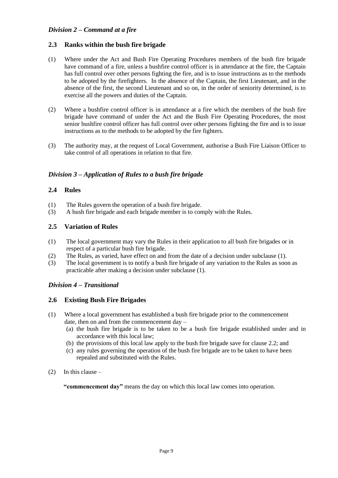#### *Division 2 – Command at a fire*

#### **2.3 Ranks within the bush fire brigade**

- (1) Where under the Act and Bush Fire Operating Procedures members of the bush fire brigade have command of a fire, unless a bushfire control officer is in attendance at the fire, the Captain has full control over other persons fighting the fire, and is to issue instructions as to the methods to be adopted by the firefighters. In the absence of the Captain, the first Lieutenant, and in the absence of the first, the second Lieutenant and so on, in the order of seniority determined, is to exercise all the powers and duties of the Captain.
- (2) Where a bushfire control officer is in attendance at a fire which the members of the bush fire brigade have command of under the Act and the Bush Fire Operating Procedures, the most senior bushfire control officer has full control over other persons fighting the fire and is to issue instructions as to the methods to be adopted by the fire fighters.
- (3) The authority may, at the request of Local Government, authorise a Bush Fire Liaison Officer to take control of all operations in relation to that fire.

#### *Division 3 – Application of Rules to a bush fire brigade*

#### **2.4 Rules**

- (1) The Rules govern the operation of a bush fire brigade.
- (3) A bush fire brigade and each brigade member is to comply with the Rules.

#### **2.5 Variation of Rules**

- (1) The local government may vary the Rules in their application to all bush fire brigades or in respect of a particular bush fire brigade.
- (2) The Rules, as varied, have effect on and from the date of a decision under subclause (1).
- (3) The local government is to notify a bush fire brigade of any variation to the Rules as soon as practicable after making a decision under subclause (1).

#### *Division 4 – Transitional*

#### **2.6 Existing Bush Fire Brigades**

- (1) Where a local government has established a bush fire brigade prior to the commencement date, then on and from the commencement day –
	- (a) the bush fire brigade is to be taken to be a bush fire brigade established under and in accordance with this local law;
	- (b) the provisions of this local law apply to the bush fire brigade save for clause 2.2; and
	- (c) any rules governing the operation of the bush fire brigade are to be taken to have been repealed and substituted with the Rules.
- (2) In this clause  $-$

**"commencement day"** means the day on which this local law comes into operation.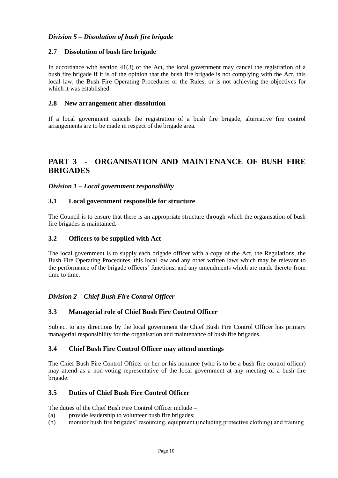## *Division 5 – Dissolution of bush fire brigade*

#### **2.7 Dissolution of bush fire brigade**

In accordance with section 41(3) of the Act, the local government may cancel the registration of a bush fire brigade if it is of the opinion that the bush fire brigade is not complying with the Act, this local law, the Bush Fire Operating Procedures or the Rules, or is not achieving the objectives for which it was established.

#### **2.8 New arrangement after dissolution**

If a local government cancels the registration of a bush fire brigade, alternative fire control arrangements are to be made in respect of the brigade area.

# **PART 3 - ORGANISATION AND MAINTENANCE OF BUSH FIRE BRIGADES**

#### *Division 1 – Local government responsibility*

#### **3.1 Local government responsible for structure**

The Council is to ensure that there is an appropriate structure through which the organisation of bush fire brigades is maintained.

#### **3.2 Officers to be supplied with Act**

The local government is to supply each brigade officer with a copy of the Act, the Regulations, the Bush Fire Operating Procedures, this local law and any other written laws which may be relevant to the performance of the brigade officers' functions, and any amendments which are made thereto from time to time.

#### *Division 2 – Chief Bush Fire Control Officer*

#### **3.3 Managerial role of Chief Bush Fire Control Officer**

Subject to any directions by the local government the Chief Bush Fire Control Officer has primary managerial responsibility for the organisation and maintenance of bush fire brigades.

#### **3.4 Chief Bush Fire Control Officer may attend meetings**

The Chief Bush Fire Control Officer or her or his nominee (who is to be a bush fire control officer) may attend as a non-voting representative of the local government at any meeting of a bush fire brigade.

#### **3.5 Duties of Chief Bush Fire Control Officer**

The duties of the Chief Bush Fire Control Officer include –

- (a) provide leadership to volunteer bush fire brigades;
- (b) monitor bush fire brigades' resourcing, equipment (including protective clothing) and training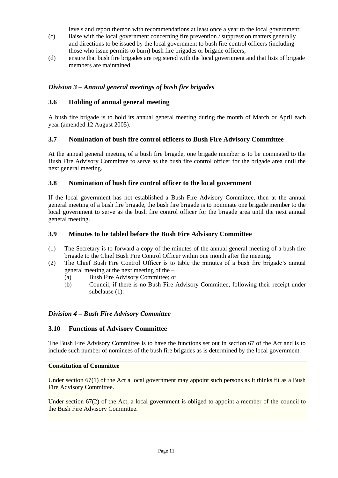levels and report thereon with recommendations at least once a year to the local government;

- (c) liaise with the local government concerning fire prevention / suppression matters generally and directions to be issued by the local government to bush fire control officers (including those who issue permits to burn) bush fire brigades or brigade officers;
- (d) ensure that bush fire brigades are registered with the local government and that lists of brigade members are maintained.

## *Division 3 – Annual general meetings of bush fire brigades*

#### **3.6 Holding of annual general meeting**

A bush fire brigade is to hold its annual general meeting during the month of March or April each year.(amended 12 August 2005).

#### **3.7 Nomination of bush fire control officers to Bush Fire Advisory Committee**

At the annual general meeting of a bush fire brigade, one brigade member is to be nominated to the Bush Fire Advisory Committee to serve as the bush fire control officer for the brigade area until the next general meeting.

#### **3.8 Nomination of bush fire control officer to the local government**

If the local government has not established a Bush Fire Advisory Committee, then at the annual general meeting of a bush fire brigade, the bush fire brigade is to nominate one brigade member to the local government to serve as the bush fire control officer for the brigade area until the next annual general meeting.

#### **3.9 Minutes to be tabled before the Bush Fire Advisory Committee**

- (1) The Secretary is to forward a copy of the minutes of the annual general meeting of a bush fire brigade to the Chief Bush Fire Control Officer within one month after the meeting.
- (2) The Chief Bush Fire Control Officer is to table the minutes of a bush fire brigade's annual general meeting at the next meeting of the –
	- (a) Bush Fire Advisory Committee; or
	- (b) Council, if there is no Bush Fire Advisory Committee, following their receipt under subclause (1).

#### *Division 4 – Bush Fire Advisory Committee*

#### **3.10 Functions of Advisory Committee**

The Bush Fire Advisory Committee is to have the functions set out in section 67 of the Act and is to include such number of nominees of the bush fire brigades as is determined by the local government.

#### **Constitution of Committee**

Under section 67(1) of the Act a local government may appoint such persons as it thinks fit as a Bush Fire Advisory Committee.

Under section 67(2) of the Act, a local government is obliged to appoint a member of the council to the Bush Fire Advisory Committee.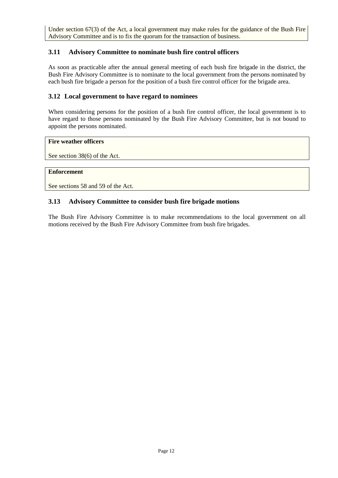Under section 67(3) of the Act, a local government may make rules for the guidance of the Bush Fire Advisory Committee and is to fix the quorum for the transaction of business.

## **3.11 Advisory Committee to nominate bush fire control officers**

As soon as practicable after the annual general meeting of each bush fire brigade in the district, the Bush Fire Advisory Committee is to nominate to the local government from the persons nominated by each bush fire brigade a person for the position of a bush fire control officer for the brigade area.

#### **3.12 Local government to have regard to nominees**

When considering persons for the position of a bush fire control officer, the local government is to have regard to those persons nominated by the Bush Fire Advisory Committee, but is not bound to appoint the persons nominated.

#### **Fire weather officers**

See section 38(6) of the Act.

#### **Enforcement**

See sections 58 and 59 of the Act.

#### **3.13 Advisory Committee to consider bush fire brigade motions**

The Bush Fire Advisory Committee is to make recommendations to the local government on all motions received by the Bush Fire Advisory Committee from bush fire brigades.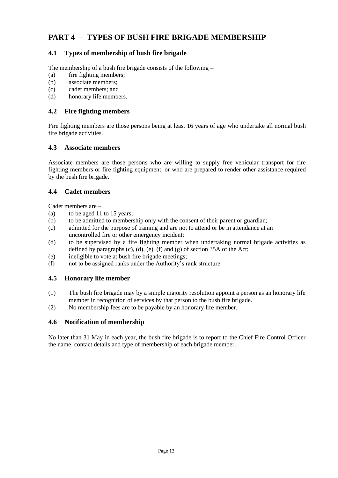# **PART 4 – TYPES OF BUSH FIRE BRIGADE MEMBERSHIP**

# **4.1 Types of membership of bush fire brigade**

The membership of a bush fire brigade consists of the following –

- (a) fire fighting members;
- (b) associate members;
- (c) cadet members; and
- (d) honorary life members.

## **4.2 Fire fighting members**

Fire fighting members are those persons being at least 16 years of age who undertake all normal bush fire brigade activities.

#### **4.3 Associate members**

Associate members are those persons who are willing to supply free vehicular transport for fire fighting members or fire fighting equipment, or who are prepared to render other assistance required by the bush fire brigade.

#### **4.4 Cadet members**

Cadet members are –

- (a) to be aged 11 to 15 years;
- (b) to be admitted to membership only with the consent of their parent or guardian;
- (c) admitted for the purpose of training and are not to attend or be in attendance at an uncontrolled fire or other emergency incident;
- (d) to be supervised by a fire fighting member when undertaking normal brigade activities as defined by paragraphs  $(c)$ ,  $(d)$ ,  $(e)$ ,  $(f)$  and  $(g)$  of section 35A of the Act;
- (e) ineligible to vote at bush fire brigade meetings;
- (f) not to be assigned ranks under the Authority's rank structure.

#### **4.5 Honorary life member**

- (1) The bush fire brigade may by a simple majority resolution appoint a person as an honorary life member in recognition of services by that person to the bush fire brigade.
- (2) No membership fees are to be payable by an honorary life member.

#### **4.6 Notification of membership**

No later than 31 May in each year, the bush fire brigade is to report to the Chief Fire Control Officer the name, contact details and type of membership of each brigade member.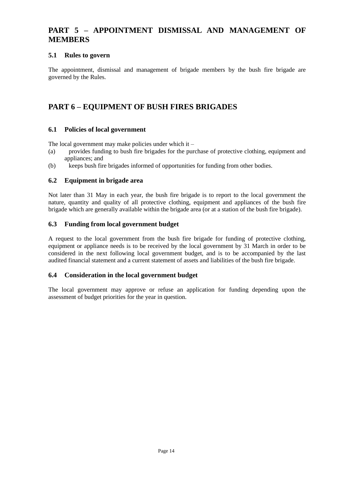# **PART 5 – APPOINTMENT DISMISSAL AND MANAGEMENT OF MEMBERS**

#### **5.1 Rules to govern**

The appointment, dismissal and management of brigade members by the bush fire brigade are governed by the Rules.

# **PART 6 – EQUIPMENT OF BUSH FIRES BRIGADES**

#### **6.1 Policies of local government**

The local government may make policies under which it  $-$ 

- (a) provides funding to bush fire brigades for the purchase of protective clothing, equipment and appliances; and
- (b) keeps bush fire brigades informed of opportunities for funding from other bodies.

#### **6.2 Equipment in brigade area**

Not later than 31 May in each year, the bush fire brigade is to report to the local government the nature, quantity and quality of all protective clothing, equipment and appliances of the bush fire brigade which are generally available within the brigade area (or at a station of the bush fire brigade).

#### **6.3 Funding from local government budget**

A request to the local government from the bush fire brigade for funding of protective clothing, equipment or appliance needs is to be received by the local government by 31 March in order to be considered in the next following local government budget, and is to be accompanied by the last audited financial statement and a current statement of assets and liabilities of the bush fire brigade.

#### **6.4 Consideration in the local government budget**

The local government may approve or refuse an application for funding depending upon the assessment of budget priorities for the year in question.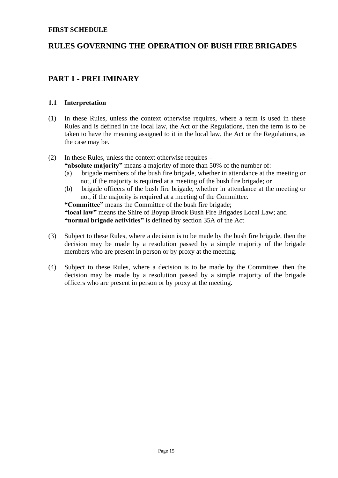#### **FIRST SCHEDULE**

# **RULES GOVERNING THE OPERATION OF BUSH FIRE BRIGADES**

# **PART 1 - PRELIMINARY**

## **1.1 Interpretation**

- (1) In these Rules, unless the context otherwise requires, where a term is used in these Rules and is defined in the local law, the Act or the Regulations, then the term is to be taken to have the meaning assigned to it in the local law, the Act or the Regulations, as the case may be.
- (2) In these Rules, unless the context otherwise requires
	- **"absolute majority"** means a majority of more than 50% of the number of:
	- (a) brigade members of the bush fire brigade, whether in attendance at the meeting or not, if the majority is required at a meeting of the bush fire brigade; or
	- (b) brigade officers of the bush fire brigade, whether in attendance at the meeting or not, if the majority is required at a meeting of the Committee.

**"Committee"** means the Committee of the bush fire brigade; **"local law"** means the Shire of Boyup Brook Bush Fire Brigades Local Law; and

**"normal brigade activities"** is defined by section 35A of the Act

- (3) Subject to these Rules, where a decision is to be made by the bush fire brigade, then the decision may be made by a resolution passed by a simple majority of the brigade members who are present in person or by proxy at the meeting.
- (4) Subject to these Rules, where a decision is to be made by the Committee, then the decision may be made by a resolution passed by a simple majority of the brigade officers who are present in person or by proxy at the meeting.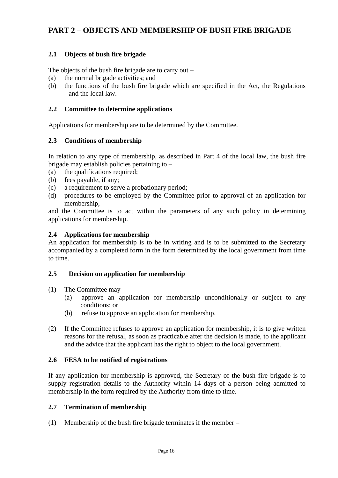# **PART 2 – OBJECTS AND MEMBERSHIP OF BUSH FIRE BRIGADE**

# **2.1 Objects of bush fire brigade**

The objects of the bush fire brigade are to carry out –

- (a) the normal brigade activities; and
- (b) the functions of the bush fire brigade which are specified in the Act, the Regulations and the local law.

#### **2.2 Committee to determine applications**

Applications for membership are to be determined by the Committee.

# **2.3 Conditions of membership**

In relation to any type of membership, as described in Part 4 of the local law, the bush fire brigade may establish policies pertaining to –

- (a) the qualifications required;
- (b) fees payable, if any;
- (c) a requirement to serve a probationary period;
- (d) procedures to be employed by the Committee prior to approval of an application for membership,

and the Committee is to act within the parameters of any such policy in determining applications for membership.

#### **2.4 Applications for membership**

An application for membership is to be in writing and is to be submitted to the Secretary accompanied by a completed form in the form determined by the local government from time to time.

# **2.5 Decision on application for membership**

- (1) The Committee may
	- (a) approve an application for membership unconditionally or subject to any conditions; or
	- (b) refuse to approve an application for membership.
- (2) If the Committee refuses to approve an application for membership, it is to give written reasons for the refusal, as soon as practicable after the decision is made, to the applicant and the advice that the applicant has the right to object to the local government.

#### **2.6 FESA to be notified of registrations**

If any application for membership is approved, the Secretary of the bush fire brigade is to supply registration details to the Authority within 14 days of a person being admitted to membership in the form required by the Authority from time to time.

#### **2.7 Termination of membership**

(1) Membership of the bush fire brigade terminates if the member –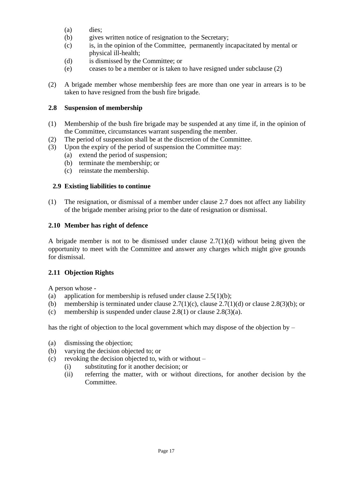- (a) dies;
- (b) gives written notice of resignation to the Secretary;
- (c) is, in the opinion of the Committee, permanently incapacitated by mental or physical ill-health;
- (d) is dismissed by the Committee; or
- (e) ceases to be a member or is taken to have resigned under subclause (2)
- (2) A brigade member whose membership fees are more than one year in arrears is to be taken to have resigned from the bush fire brigade.

# **2.8 Suspension of membership**

- (1) Membership of the bush fire brigade may be suspended at any time if, in the opinion of the Committee, circumstances warrant suspending the member.
- (2) The period of suspension shall be at the discretion of the Committee.
- (3) Upon the expiry of the period of suspension the Committee may:
	- (a) extend the period of suspension;
	- (b) terminate the membership; or
	- (c) reinstate the membership.

# **2.9 Existing liabilities to continue**

(1) The resignation, or dismissal of a member under clause 2.7 does not affect any liability of the brigade member arising prior to the date of resignation or dismissal.

# **2.10 Member has right of defence**

A brigade member is not to be dismissed under clause 2.7(1)(d) without being given the opportunity to meet with the Committee and answer any charges which might give grounds for dismissal.

# **2.11 Objection Rights**

A person whose -

- (a) application for membership is refused under clause  $2.5(1)(b)$ ;
- (b) membership is terminated under clause  $2.7(1)(c)$ , clause  $2.7(1)(d)$  or clause  $2.8(3)(b)$ ; or
- (c) membership is suspended under clause  $2.8(1)$  or clause  $2.8(3)(a)$ .

has the right of objection to the local government which may dispose of the objection by –

- (a) dismissing the objection;
- (b) varying the decision objected to; or
- (c) revoking the decision objected to, with or without  $-$ 
	- (i) substituting for it another decision; or
	- (ii) referring the matter, with or without directions, for another decision by the Committee.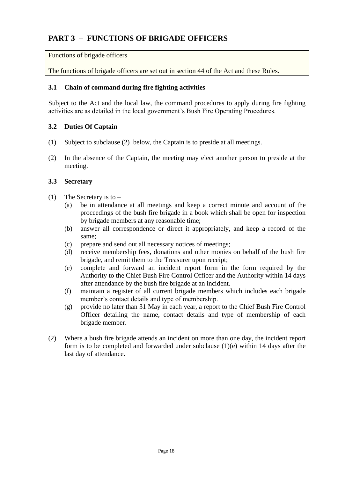# **PART 3 – FUNCTIONS OF BRIGADE OFFICERS**

## Functions of brigade officers

The functions of brigade officers are set out in section 44 of the Act and these Rules.

## **3.1 Chain of command during fire fighting activities**

Subject to the Act and the local law, the command procedures to apply during fire fighting activities are as detailed in the local government's Bush Fire Operating Procedures.

#### **3.2 Duties Of Captain**

- (1) Subject to subclause (2) below, the Captain is to preside at all meetings.
- (2) In the absence of the Captain, the meeting may elect another person to preside at the meeting.

#### **3.3 Secretary**

- (1) The Secretary is to  $-$ 
	- (a) be in attendance at all meetings and keep a correct minute and account of the proceedings of the bush fire brigade in a book which shall be open for inspection by brigade members at any reasonable time;
	- (b) answer all correspondence or direct it appropriately, and keep a record of the same;
	- (c) prepare and send out all necessary notices of meetings;
	- (d) receive membership fees, donations and other monies on behalf of the bush fire brigade, and remit them to the Treasurer upon receipt;
	- (e) complete and forward an incident report form in the form required by the Authority to the Chief Bush Fire Control Officer and the Authority within 14 days after attendance by the bush fire brigade at an incident.
	- (f) maintain a register of all current brigade members which includes each brigade member's contact details and type of membership.
	- (g) provide no later than 31 May in each year, a report to the Chief Bush Fire Control Officer detailing the name, contact details and type of membership of each brigade member.
- (2) Where a bush fire brigade attends an incident on more than one day, the incident report form is to be completed and forwarded under subclause  $(1)(e)$  within 14 days after the last day of attendance.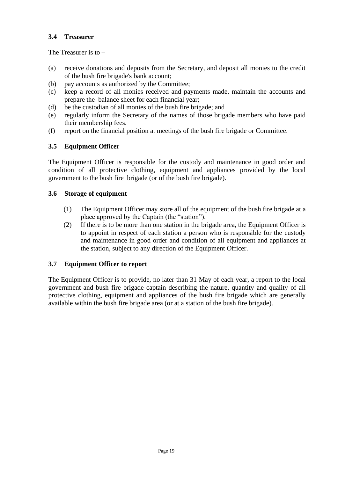# **3.4 Treasurer**

The Treasurer is to –

- (a) receive donations and deposits from the Secretary, and deposit all monies to the credit of the bush fire brigade's bank account;
- (b) pay accounts as authorized by the Committee;
- (c) keep a record of all monies received and payments made, maintain the accounts and prepare the balance sheet for each financial year;
- (d) be the custodian of all monies of the bush fire brigade; and
- (e) regularly inform the Secretary of the names of those brigade members who have paid their membership fees.
- (f) report on the financial position at meetings of the bush fire brigade or Committee.

# **3.5 Equipment Officer**

The Equipment Officer is responsible for the custody and maintenance in good order and condition of all protective clothing, equipment and appliances provided by the local government to the bush fire brigade (or of the bush fire brigade).

# **3.6 Storage of equipment**

- (1) The Equipment Officer may store all of the equipment of the bush fire brigade at a place approved by the Captain (the "station").
- (2) If there is to be more than one station in the brigade area, the Equipment Officer is to appoint in respect of each station a person who is responsible for the custody and maintenance in good order and condition of all equipment and appliances at the station, subject to any direction of the Equipment Officer.

# **3.7 Equipment Officer to report**

The Equipment Officer is to provide, no later than 31 May of each year, a report to the local government and bush fire brigade captain describing the nature, quantity and quality of all protective clothing, equipment and appliances of the bush fire brigade which are generally available within the bush fire brigade area (or at a station of the bush fire brigade).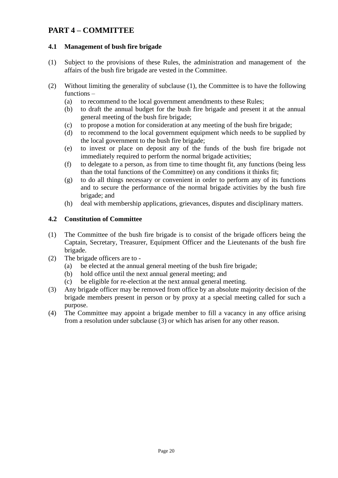# **PART 4 – COMMITTEE**

# **4.1 Management of bush fire brigade**

- (1) Subject to the provisions of these Rules, the administration and management of the affairs of the bush fire brigade are vested in the Committee.
- (2) Without limiting the generality of subclause (1), the Committee is to have the following functions –
	- (a) to recommend to the local government amendments to these Rules;
	- (b) to draft the annual budget for the bush fire brigade and present it at the annual general meeting of the bush fire brigade;
	- (c) to propose a motion for consideration at any meeting of the bush fire brigade;
	- (d) to recommend to the local government equipment which needs to be supplied by the local government to the bush fire brigade;
	- (e) to invest or place on deposit any of the funds of the bush fire brigade not immediately required to perform the normal brigade activities;
	- (f) to delegate to a person, as from time to time thought fit, any functions (being less than the total functions of the Committee) on any conditions it thinks fit;
	- (g) to do all things necessary or convenient in order to perform any of its functions and to secure the performance of the normal brigade activities by the bush fire brigade; and
	- (h) deal with membership applications, grievances, disputes and disciplinary matters.

# **4.2 Constitution of Committee**

- (1) The Committee of the bush fire brigade is to consist of the brigade officers being the Captain, Secretary, Treasurer, Equipment Officer and the Lieutenants of the bush fire brigade.
- (2) The brigade officers are to
	- (a) be elected at the annual general meeting of the bush fire brigade;
	- (b) hold office until the next annual general meeting; and
	- (c) be eligible for re-election at the next annual general meeting.
- (3) Any brigade officer may be removed from office by an absolute majority decision of the brigade members present in person or by proxy at a special meeting called for such a purpose.
- (4) The Committee may appoint a brigade member to fill a vacancy in any office arising from a resolution under subclause (3) or which has arisen for any other reason.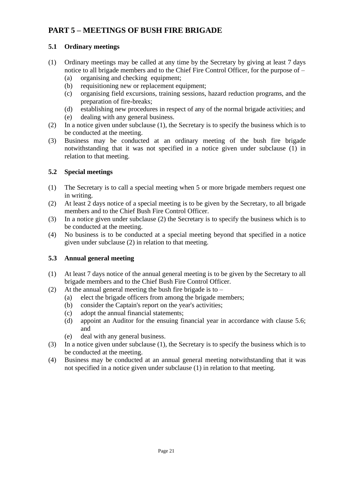# **PART 5 – MEETINGS OF BUSH FIRE BRIGADE**

# **5.1 Ordinary meetings**

- (1) Ordinary meetings may be called at any time by the Secretary by giving at least 7 days notice to all brigade members and to the Chief Fire Control Officer, for the purpose of –
	- (a) organising and checking equipment;
	- (b) requisitioning new or replacement equipment;
	- (c) organising field excursions, training sessions, hazard reduction programs, and the preparation of fire-breaks;
	- (d) establishing new procedures in respect of any of the normal brigade activities; and
	- (e) dealing with any general business.
- (2) In a notice given under subclause (1), the Secretary is to specify the business which is to be conducted at the meeting.
- (3) Business may be conducted at an ordinary meeting of the bush fire brigade notwithstanding that it was not specified in a notice given under subclause (1) in relation to that meeting.

# **5.2 Special meetings**

- (1) The Secretary is to call a special meeting when 5 or more brigade members request one in writing.
- (2) At least 2 days notice of a special meeting is to be given by the Secretary, to all brigade members and to the Chief Bush Fire Control Officer.
- (3) In a notice given under subclause (2) the Secretary is to specify the business which is to be conducted at the meeting.
- (4) No business is to be conducted at a special meeting beyond that specified in a notice given under subclause (2) in relation to that meeting.

# **5.3 Annual general meeting**

- (1) At least 7 days notice of the annual general meeting is to be given by the Secretary to all brigade members and to the Chief Bush Fire Control Officer.
- (2) At the annual general meeting the bush fire brigade is to  $-$ 
	- (a) elect the brigade officers from among the brigade members;
	- (b) consider the Captain's report on the year's activities;
	- (c) adopt the annual financial statements;
	- (d) appoint an Auditor for the ensuing financial year in accordance with clause 5.6; and
	- (e) deal with any general business.
- (3) In a notice given under subclause (1), the Secretary is to specify the business which is to be conducted at the meeting.
- (4) Business may be conducted at an annual general meeting notwithstanding that it was not specified in a notice given under subclause (1) in relation to that meeting.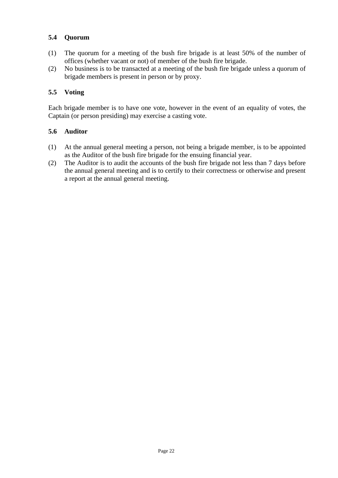# **5.4 Quorum**

- (1) The quorum for a meeting of the bush fire brigade is at least 50% of the number of offices (whether vacant or not) of member of the bush fire brigade.
- (2) No business is to be transacted at a meeting of the bush fire brigade unless a quorum of brigade members is present in person or by proxy.

# **5.5 Voting**

Each brigade member is to have one vote, however in the event of an equality of votes, the Captain (or person presiding) may exercise a casting vote.

# **5.6 Auditor**

- (1) At the annual general meeting a person, not being a brigade member, is to be appointed as the Auditor of the bush fire brigade for the ensuing financial year.
- (2) The Auditor is to audit the accounts of the bush fire brigade not less than 7 days before the annual general meeting and is to certify to their correctness or otherwise and present a report at the annual general meeting.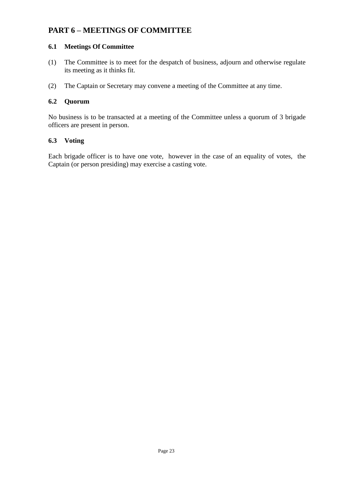# **PART 6 – MEETINGS OF COMMITTEE**

# **6.1 Meetings Of Committee**

- (1) The Committee is to meet for the despatch of business, adjourn and otherwise regulate its meeting as it thinks fit.
- (2) The Captain or Secretary may convene a meeting of the Committee at any time.

# **6.2 Quorum**

No business is to be transacted at a meeting of the Committee unless a quorum of 3 brigade officers are present in person.

# **6.3 Voting**

Each brigade officer is to have one vote, however in the case of an equality of votes, the Captain (or person presiding) may exercise a casting vote.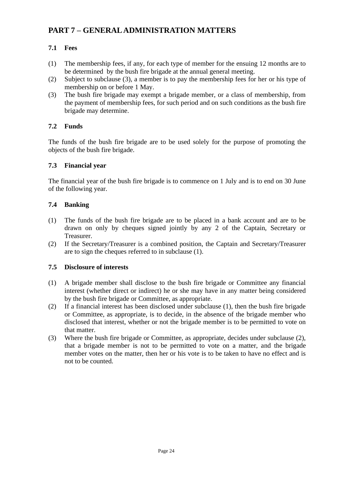# **PART 7 – GENERAL ADMINISTRATION MATTERS**

# **7.1 Fees**

- (1) The membership fees, if any, for each type of member for the ensuing 12 months are to be determined by the bush fire brigade at the annual general meeting.
- (2) Subject to subclause (3), a member is to pay the membership fees for her or his type of membership on or before 1 May.
- (3) The bush fire brigade may exempt a brigade member, or a class of membership, from the payment of membership fees, for such period and on such conditions as the bush fire brigade may determine.

# **7.2 Funds**

The funds of the bush fire brigade are to be used solely for the purpose of promoting the objects of the bush fire brigade.

# **7.3 Financial year**

The financial year of the bush fire brigade is to commence on 1 July and is to end on 30 June of the following year.

#### **7.4 Banking**

- (1) The funds of the bush fire brigade are to be placed in a bank account and are to be drawn on only by cheques signed jointly by any 2 of the Captain, Secretary or Treasurer.
- (2) If the Secretary/Treasurer is a combined position, the Captain and Secretary/Treasurer are to sign the cheques referred to in subclause (1).

# **7.5 Disclosure of interests**

- (1) A brigade member shall disclose to the bush fire brigade or Committee any financial interest (whether direct or indirect) he or she may have in any matter being considered by the bush fire brigade or Committee, as appropriate.
- (2) If a financial interest has been disclosed under subclause (1), then the bush fire brigade or Committee, as appropriate, is to decide, in the absence of the brigade member who disclosed that interest, whether or not the brigade member is to be permitted to vote on that matter.
- (3) Where the bush fire brigade or Committee, as appropriate, decides under subclause (2), that a brigade member is not to be permitted to vote on a matter, and the brigade member votes on the matter, then her or his vote is to be taken to have no effect and is not to be counted.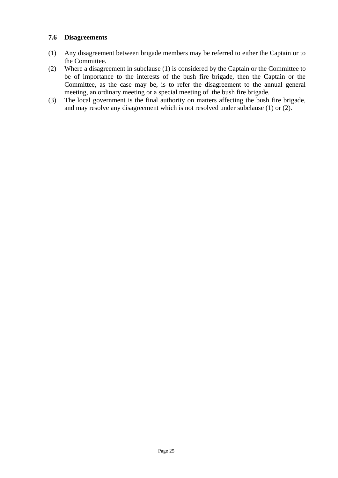## **7.6 Disagreements**

- (1) Any disagreement between brigade members may be referred to either the Captain or to the Committee.
- (2) Where a disagreement in subclause (1) is considered by the Captain or the Committee to be of importance to the interests of the bush fire brigade, then the Captain or the Committee, as the case may be, is to refer the disagreement to the annual general meeting, an ordinary meeting or a special meeting of the bush fire brigade.
- (3) The local government is the final authority on matters affecting the bush fire brigade, and may resolve any disagreement which is not resolved under subclause (1) or (2).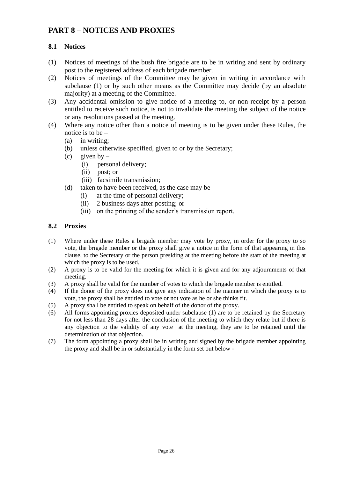# **PART 8 – NOTICES AND PROXIES**

# **8.1 Notices**

- (1) Notices of meetings of the bush fire brigade are to be in writing and sent by ordinary post to the registered address of each brigade member.
- (2) Notices of meetings of the Committee may be given in writing in accordance with subclause (1) or by such other means as the Committee may decide (by an absolute majority) at a meeting of the Committee.
- (3) Any accidental omission to give notice of a meeting to, or non-receipt by a person entitled to receive such notice, is not to invalidate the meeting the subject of the notice or any resolutions passed at the meeting.
- (4) Where any notice other than a notice of meeting is to be given under these Rules, the notice is to be –
	- (a) in writing;
	- (b) unless otherwise specified, given to or by the Secretary;
	- (c) given by  $-$ 
		- (i) personal delivery;
		- (ii) post; or
		- (iii) facsimile transmission;
	- (d) taken to have been received, as the case may be  $-$ 
		- (i) at the time of personal delivery;
		- (ii) 2 business days after posting; or
		- (iii) on the printing of the sender's transmission report.

#### **8.2 Proxies**

- (1) Where under these Rules a brigade member may vote by proxy, in order for the proxy to so vote, the brigade member or the proxy shall give a notice in the form of that appearing in this clause, to the Secretary or the person presiding at the meeting before the start of the meeting at which the proxy is to be used.
- (2) A proxy is to be valid for the meeting for which it is given and for any adjournments of that meeting.
- (3) A proxy shall be valid for the number of votes to which the brigade member is entitled.
- (4) If the donor of the proxy does not give any indication of the manner in which the proxy is to vote, the proxy shall be entitled to vote or not vote as he or she thinks fit.
- (5) A proxy shall be entitled to speak on behalf of the donor of the proxy.
- (6) All forms appointing proxies deposited under subclause (1) are to be retained by the Secretary for not less than 28 days after the conclusion of the meeting to which they relate but if there is any objection to the validity of any vote at the meeting, they are to be retained until the determination of that objection.
- (7) The form appointing a proxy shall be in writing and signed by the brigade member appointing the proxy and shall be in or substantially in the form set out below -